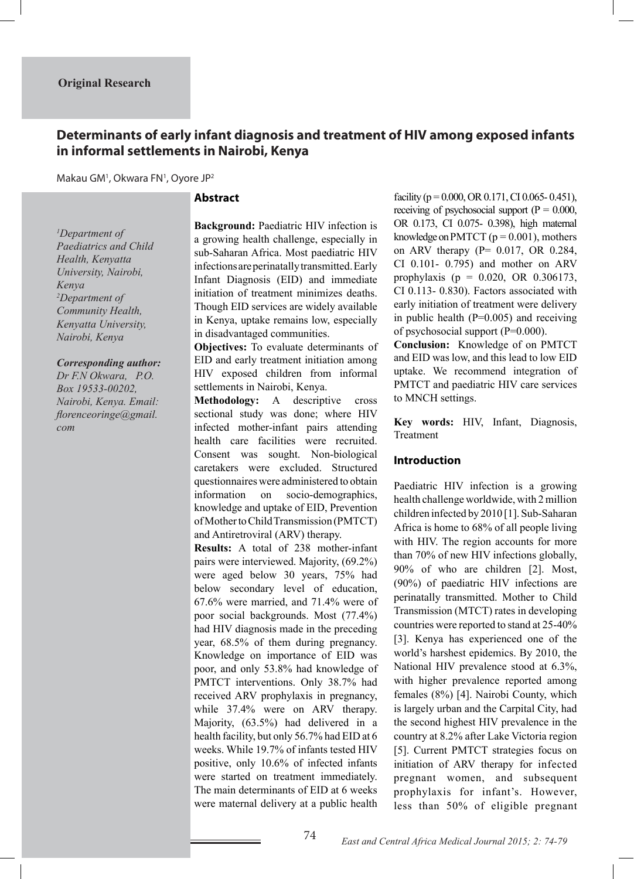# **Determinants of early infant diagnosis and treatment of HIV among exposed infants in informal settlements in Nairobi, Kenya**

Makau GM<sup>1</sup>, Okwara FN<sup>1</sup>, Oyore JP<sup>2</sup>

## **Abstract**

*1 Department of Paediatrics and Child Health, Kenyatta University, Nairobi, Kenya 2 Department of Community Health, Kenyatta University, Nairobi, Kenya*

#### *Corresponding author:*

*Dr F.N Okwara, P.O. Box 19533-00202, Nairobi, Kenya. Email: florenceoringe@gmail. com* 

**Background:** Paediatric HIV infection is a growing health challenge, especially in sub-Saharan Africa. Most paediatric HIV infections are perinatally transmitted. Early Infant Diagnosis (EID) and immediate initiation of treatment minimizes deaths. Though EID services are widely available in Kenya, uptake remains low, especially in disadvantaged communities.

**Objectives:** To evaluate determinants of EID and early treatment initiation among HIV exposed children from informal settlements in Nairobi, Kenya.

**Methodology:** A descriptive cross sectional study was done; where HIV infected mother-infant pairs attending health care facilities were recruited. Consent was sought. Non-biological caretakers were excluded. Structured questionnaires were administered to obtain information on socio-demographics, knowledge and uptake of EID, Prevention of Mother to Child Transmission (PMTCT) and Antiretroviral (ARV) therapy.

**Results:** A total of 238 mother-infant pairs were interviewed. Majority, (69.2%) were aged below 30 years, 75% had below secondary level of education, 67.6% were married, and 71.4% were of poor social backgrounds. Most (77.4%) had HIV diagnosis made in the preceding year, 68.5% of them during pregnancy. Knowledge on importance of EID was poor, and only 53.8% had knowledge of PMTCT interventions. Only 38.7% had received ARV prophylaxis in pregnancy, while 37.4% were on ARV therapy. Majority, (63.5%) had delivered in a health facility, but only 56.7% had EID at 6 weeks. While 19.7% of infants tested HIV positive, only 10.6% of infected infants were started on treatment immediately. The main determinants of EID at 6 weeks were maternal delivery at a public health

facility ( $p = 0.000$ , OR 0.171, CI 0.065-0.451), receiving of psychosocial support  $(P = 0.000$ , OR 0.173, CI 0.075- 0.398), high maternal knowledge on PMTCT ( $p = 0.001$ ), mothers on ARV therapy (P= 0.017, OR 0.284, CI 0.101- 0.795) and mother on ARV prophylaxis (p = 0.020, OR 0.306173, CI 0.113- 0.830). Factors associated with early initiation of treatment were delivery in public health  $(P=0.005)$  and receiving of psychosocial support (P=0.000).

**Conclusion:** Knowledge of on PMTCT and EID was low, and this lead to low EID uptake. We recommend integration of PMTCT and paediatric HIV care services to MNCH settings.

**Key words:** HIV, Infant, Diagnosis, Treatment

### **Introduction**

Paediatric HIV infection is a growing health challenge worldwide, with 2 million children infected by 2010 [1]. Sub-Saharan Africa is home to 68% of all people living with HIV. The region accounts for more than 70% of new HIV infections globally, 90% of who are children [2]. Most, (90%) of paediatric HIV infections are perinatally transmitted. Mother to Child Transmission (MTCT) rates in developing countries were reported to stand at 25-40% [3]. Kenya has experienced one of the world's harshest epidemics. By 2010, the National HIV prevalence stood at 6.3%, with higher prevalence reported among females (8%) [4]. Nairobi County, which is largely urban and the Carpital City, had the second highest HIV prevalence in the country at 8.2% after Lake Victoria region [5]. Current PMTCT strategies focus on initiation of ARV therapy for infected pregnant women, and subsequent prophylaxis for infant's. However, less than 50% of eligible pregnant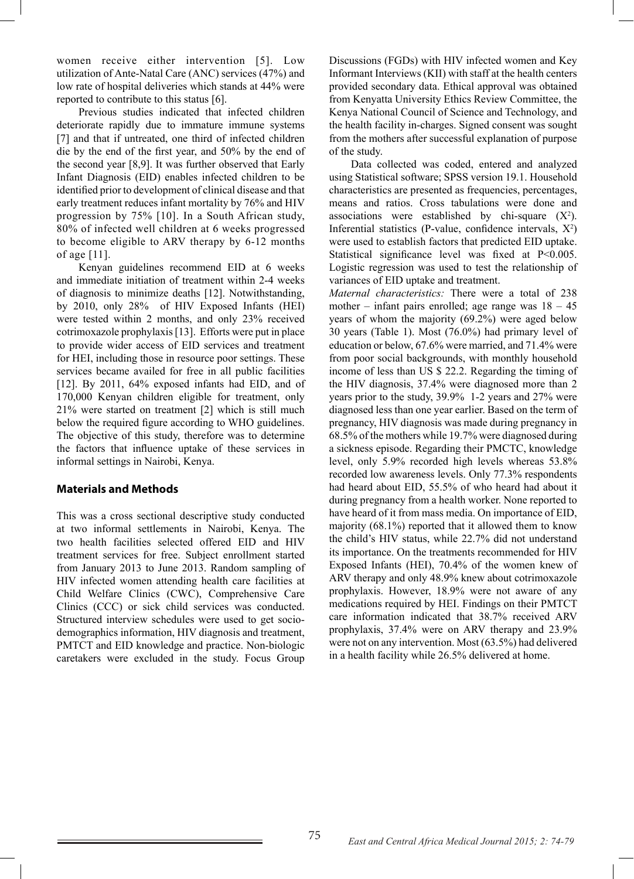women receive either intervention [5]. Low utilization of Ante-Natal Care (ANC) services (47%) and low rate of hospital deliveries which stands at 44% were reported to contribute to this status [6].

 Previous studies indicated that infected children deteriorate rapidly due to immature immune systems [7] and that if untreated, one third of infected children die by the end of the first year, and 50% by the end of the second year [8,9]. It was further observed that Early Infant Diagnosis (EID) enables infected children to be identified prior to development of clinical disease and that early treatment reduces infant mortality by 76% and HIV progression by 75% [10]. In a South African study, 80% of infected well children at 6 weeks progressed to become eligible to ARV therapy by 6-12 months of age [11].

 Kenyan guidelines recommend EID at 6 weeks and immediate initiation of treatment within 2-4 weeks of diagnosis to minimize deaths [12]. Notwithstanding, by 2010, only 28% of HIV Exposed Infants (HEI) were tested within 2 months, and only 23% received cotrimoxazole prophylaxis [13]. Efforts were put in place to provide wider access of EID services and treatment for HEI, including those in resource poor settings. These services became availed for free in all public facilities [12]. By 2011, 64% exposed infants had EID, and of 170,000 Kenyan children eligible for treatment, only 21% were started on treatment [2] which is still much below the required figure according to WHO guidelines. The objective of this study, therefore was to determine the factors that influence uptake of these services in informal settings in Nairobi, Kenya.

## **Materials and Methods**

This was a cross sectional descriptive study conducted at two informal settlements in Nairobi, Kenya. The two health facilities selected offered EID and HIV treatment services for free. Subject enrollment started from January 2013 to June 2013. Random sampling of HIV infected women attending health care facilities at Child Welfare Clinics (CWC), Comprehensive Care Clinics (CCC) or sick child services was conducted. Structured interview schedules were used to get sociodemographics information, HIV diagnosis and treatment, PMTCT and EID knowledge and practice. Non-biologic caretakers were excluded in the study. Focus Group

Discussions (FGDs) with HIV infected women and Key Informant Interviews (KII) with staff at the health centers provided secondary data. Ethical approval was obtained from Kenyatta University Ethics Review Committee, the Kenya National Council of Science and Technology, and the health facility in-charges. Signed consent was sought from the mothers after successful explanation of purpose of the study.

 Data collected was coded, entered and analyzed using Statistical software; SPSS version 19.1. Household characteristics are presented as frequencies, percentages, means and ratios. Cross tabulations were done and associations were established by chi-square  $(X^2)$ . Inferential statistics (P-value, confidence intervals,  $X^2$ ) were used to establish factors that predicted EID uptake. Statistical significance level was fixed at P<0.005. Logistic regression was used to test the relationship of variances of EID uptake and treatment.

*Maternal characteristics:* There were a total of 238 mother – infant pairs enrolled; age range was  $18 - 45$ years of whom the majority (69.2%) were aged below 30 years (Table 1). Most (76.0%) had primary level of education or below, 67.6% were married, and 71.4% were from poor social backgrounds, with monthly household income of less than US \$ 22.2. Regarding the timing of the HIV diagnosis, 37.4% were diagnosed more than 2 years prior to the study, 39.9% 1-2 years and 27% were diagnosed less than one year earlier. Based on the term of pregnancy, HIV diagnosis was made during pregnancy in 68.5% of the mothers while 19.7% were diagnosed during a sickness episode. Regarding their PMCTC, knowledge level, only 5.9% recorded high levels whereas 53.8% recorded low awareness levels. Only 77.3% respondents had heard about EID, 55.5% of who heard had about it during pregnancy from a health worker. None reported to have heard of it from mass media. On importance of EID, majority (68.1%) reported that it allowed them to know the child's HIV status, while 22.7% did not understand its importance. On the treatments recommended for HIV Exposed Infants (HEI), 70.4% of the women knew of ARV therapy and only 48.9% knew about cotrimoxazole prophylaxis. However, 18.9% were not aware of any medications required by HEI. Findings on their PMTCT care information indicated that 38.7% received ARV prophylaxis, 37.4% were on ARV therapy and 23.9% were not on any intervention. Most (63.5%) had delivered in a health facility while 26.5% delivered at home.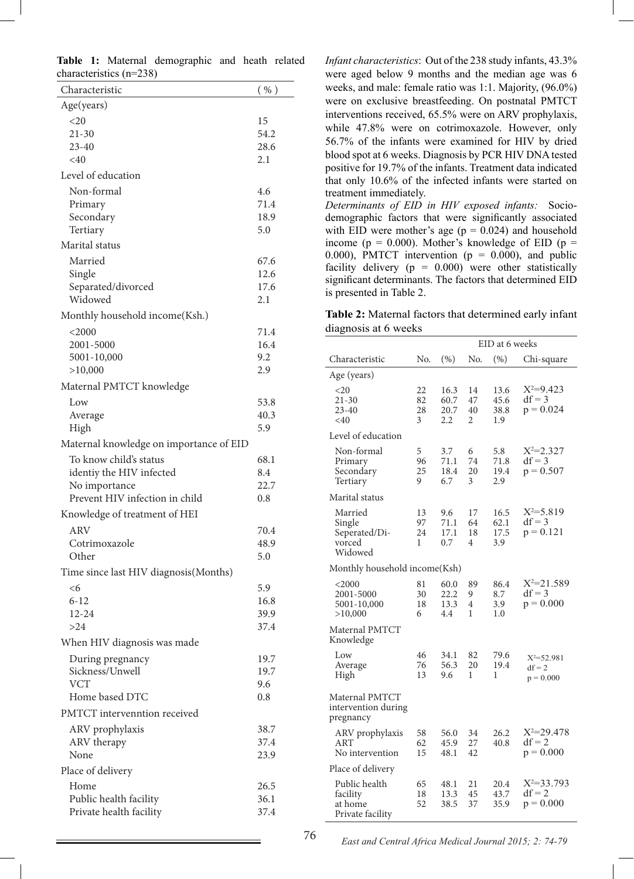|  |                           | Table 1: Maternal demographic and heath related |  |  |
|--|---------------------------|-------------------------------------------------|--|--|
|  | characteristics $(n=238)$ |                                                 |  |  |

| Characteristic                          | ( %)         |
|-----------------------------------------|--------------|
| Age(years)                              |              |
| $20$                                    | 15           |
| $21 - 30$                               | 54.2         |
| $23 - 40$<br>$<$ 40                     | 28.6         |
|                                         | 2.1          |
| Level of education                      |              |
| Non-formal<br>Primary                   | 4.6<br>71.4  |
| Secondary                               | 18.9         |
| Tertiary                                | 5.0          |
| Marital status                          |              |
| Married                                 | 67.6         |
| Single                                  | 12.6         |
| Separated/divorced                      | 17.6         |
| Widowed                                 | 2.1          |
| Monthly household income (Ksh.)         |              |
| $<$ 2000                                | 71.4         |
| 2001-5000                               | 16.4         |
| 5001-10,000<br>>10,000                  | 9.2<br>2.9   |
| Maternal PMTCT knowledge                |              |
| Low                                     |              |
| Average                                 | 53.8<br>40.3 |
| High                                    | 5.9          |
| Maternal knowledge on importance of EID |              |
| To know child's status                  | 68.1         |
| identiy the HIV infected                | 8.4          |
| No importance                           | 22.7         |
| Prevent HIV infection in child          | 0.8          |
| Knowledge of treatment of HEI           |              |
| <b>ARV</b>                              | 70.4         |
| Cotrimoxazole                           | 48.9         |
| Other                                   | 5.0          |
| Time since last HIV diagnosis (Months)  |              |
| $<$ 6                                   | 5.9          |
| $6 - 12$<br>$12 - 24$                   | 16.8<br>39.9 |
| >24                                     | 37.4         |
| When HIV diagnosis was made             |              |
| During pregnancy                        | 19.7         |
| Sickness/Unwell                         | 19.7         |
| <b>VCT</b>                              | 9.6          |
| Home based DTC                          | 0.8          |
| PMTCT intervenntion received            |              |
| ARV prophylaxis                         | 38.7         |
| ARV therapy                             | 37.4         |
| None                                    | 23.9         |
| Place of delivery                       |              |
| Home                                    | 26.5         |
| Public health facility                  | 36.1<br>37.4 |
| Private health facility                 |              |

*Infant characteristics*: Out of the 238 study infants, 43.3% were aged below 9 months and the median age was 6 weeks, and male: female ratio was 1:1. Majority, (96.0%) were on exclusive breastfeeding. On postnatal PMTCT interventions received, 65.5% were on ARV prophylaxis, while 47.8% were on cotrimoxazole. However, only 56.7% of the infants were examined for HIV by dried blood spot at 6 weeks. Diagnosis by PCR HIV DNA tested positive for 19.7% of the infants. Treatment data indicated that only 10.6% of the infected infants were started on treatment immediately.

*Determinants of EID in HIV exposed infants:* Sociodemographic factors that were significantly associated with EID were mother's age ( $p = 0.024$ ) and household income ( $p = 0.000$ ). Mother's knowledge of EID ( $p =$ 0.000), PMTCT intervention ( $p = 0.000$ ), and public facility delivery ( $p = 0.000$ ) were other statistically significant determinants. The factors that determined EID is presented in Table 2.

**Table 2:** Maternal factors that determined early infant diagnosis at 6 weeks

|                                                          |                     |                             | EID at 6 weeks      |                             |                                           |  |
|----------------------------------------------------------|---------------------|-----------------------------|---------------------|-----------------------------|-------------------------------------------|--|
| Characteristic                                           | No.                 | (% )                        | No.                 | (% )                        | Chi-square                                |  |
| Age (years)                                              |                     |                             |                     |                             |                                           |  |
| $<$ 20<br>21-30<br>23-40<br>$<$ 40                       | 22<br>82<br>28<br>3 | 16.3<br>60.7<br>20.7<br>2.2 | 14<br>47<br>40<br>2 | 13.6<br>45.6<br>38.8<br>1.9 | $X^2=9.423$<br>$df = 3$<br>$p = 0.024$    |  |
| Level of education                                       |                     |                             |                     |                             |                                           |  |
| Non-formal<br>Primary<br>Secondary<br>Tertiary           | 5<br>96<br>25<br>9  | 3.7<br>71.1<br>18.4<br>6.7  | 6<br>74<br>20<br>3  | 5.8<br>71.8<br>19.4<br>2.9  | $X^2 = 2.327$<br>$df = 3$<br>$p = 0.507$  |  |
| Marital status                                           |                     |                             |                     |                             |                                           |  |
| Married<br>Single<br>Seperated/Di-<br>vorced<br>Widowed  | 13<br>97<br>24<br>1 | 9.6<br>71.1<br>17.1<br>0.7  | 17<br>64<br>18<br>4 | 16.5<br>62.1<br>17.5<br>3.9 | $X^2 = 5.819$<br>$df = 3$<br>$p = 0.121$  |  |
| Monthly household income(Ksh)                            |                     |                             |                     |                             |                                           |  |
| $<$ 2000<br>2001-5000<br>5001-10,000<br>>10,000          | 81<br>30<br>18<br>6 | 60.0<br>22.2<br>13.3<br>4.4 | 89<br>9<br>4<br>1   | 86.4<br>8.7<br>3.9<br>1.0   | $X^2 = 21.589$<br>$df = 3$<br>$p = 0.000$ |  |
| Maternal PMTCT<br>Knowledge                              |                     |                             |                     |                             |                                           |  |
| Low<br>Average<br>High                                   | 46<br>76<br>13      | 34.1<br>56.3<br>9.6         | 82<br>20<br>1       | 79.6<br>19.4<br>1           | $X^2 = 52.981$<br>$df = 2$<br>$p = 0.000$ |  |
| Maternal PMTCT<br>intervention during<br>pregnancy       |                     |                             |                     |                             |                                           |  |
| ARV prophylaxis<br>ART<br>No intervention                | 58<br>62<br>15      | 56.0<br>45.9<br>48.1        | 34<br>27<br>42      | 26.2<br>40.8                | $X^2 = 29.478$<br>$df = 2$<br>$p = 0.000$ |  |
| Place of delivery                                        |                     |                             |                     |                             |                                           |  |
| Public health<br>facility<br>at home<br>Private facility | 65<br>18<br>52      | 48.1<br>13.3<br>38.5        | 21<br>45<br>37      | 20.4<br>43.7<br>35.9        | $X^2=33.793$<br>$df = 2$<br>$p = 0.000$   |  |

76 *East and Central Africa Medical Journal 2015; 2: 74-79*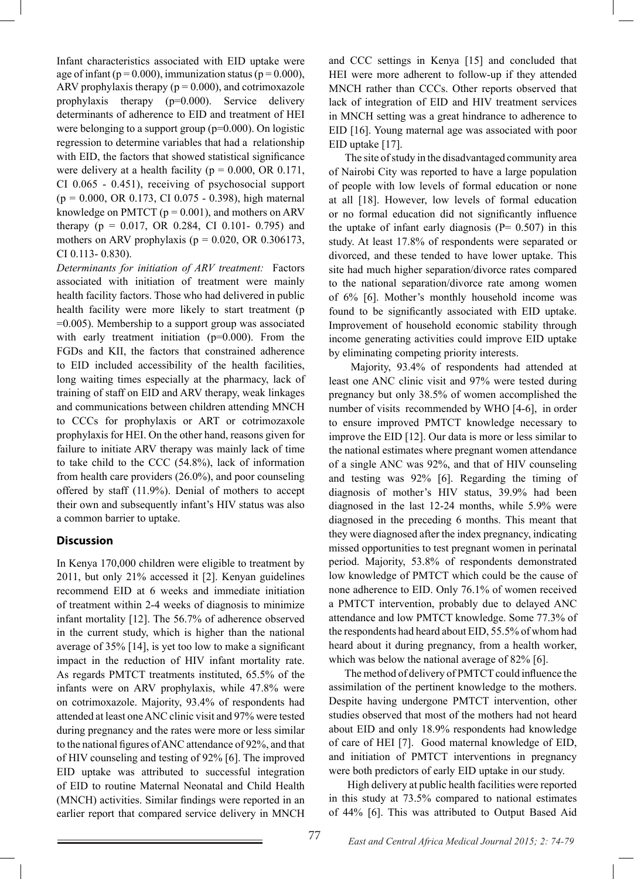Infant characteristics associated with EID uptake were age of infant ( $p = 0.000$ ), immunization status ( $p = 0.000$ ), ARV prophylaxis therapy ( $p = 0.000$ ), and cotrimoxazole prophylaxis therapy (p=0.000). Service delivery determinants of adherence to EID and treatment of HEI were belonging to a support group  $(p=0.000)$ . On logistic regression to determine variables that had a relationship with EID, the factors that showed statistical significance were delivery at a health facility ( $p = 0.000$ , OR 0.171, CI 0.065 - 0.451), receiving of psychosocial support  $(p = 0.000, \text{ OR } 0.173, \text{ CI } 0.075 - 0.398)$ , high maternal knowledge on PMTCT  $(p = 0.001)$ , and mothers on ARV therapy ( $p = 0.017$ , OR 0.284, CI 0.101- 0.795) and mothers on ARV prophylaxis ( $p = 0.020$ , OR 0.306173, CI 0.113- 0.830).

*Determinants for initiation of ARV treatment:* Factors associated with initiation of treatment were mainly health facility factors. Those who had delivered in public health facility were more likely to start treatment (p =0.005). Membership to a support group was associated with early treatment initiation  $(p=0.000)$ . From the FGDs and KII, the factors that constrained adherence to EID included accessibility of the health facilities, long waiting times especially at the pharmacy, lack of training of staff on EID and ARV therapy, weak linkages and communications between children attending MNCH to CCCs for prophylaxis or ART or cotrimozaxole prophylaxis for HEI. On the other hand, reasons given for failure to initiate ARV therapy was mainly lack of time to take child to the CCC (54.8%), lack of information from health care providers (26.0%), and poor counseling offered by staff (11.9%). Denial of mothers to accept their own and subsequently infant's HIV status was also a common barrier to uptake.

## **Discussion**

In Kenya 170,000 children were eligible to treatment by 2011, but only 21% accessed it [2]. Kenyan guidelines recommend EID at 6 weeks and immediate initiation of treatment within 2-4 weeks of diagnosis to minimize infant mortality [12]. The 56.7% of adherence observed in the current study, which is higher than the national average of 35% [14], is yet too low to make a significant impact in the reduction of HIV infant mortality rate. As regards PMTCT treatments instituted, 65.5% of the infants were on ARV prophylaxis, while 47.8% were on cotrimoxazole. Majority, 93.4% of respondents had attended at least one ANC clinic visit and 97% were tested during pregnancy and the rates were more or less similar to the national figures of ANC attendance of 92%, and that of HIV counseling and testing of 92% [6]. The improved EID uptake was attributed to successful integration of EID to routine Maternal Neonatal and Child Health (MNCH) activities. Similar findings were reported in an earlier report that compared service delivery in MNCH

and CCC settings in Kenya [15] and concluded that HEI were more adherent to follow-up if they attended MNCH rather than CCCs. Other reports observed that lack of integration of EID and HIV treatment services in MNCH setting was a great hindrance to adherence to EID [16]. Young maternal age was associated with poor EID uptake [17].

 The site of study in the disadvantaged community area of Nairobi City was reported to have a large population of people with low levels of formal education or none at all [18]. However, low levels of formal education or no formal education did not significantly influence the uptake of infant early diagnosis ( $P= 0.507$ ) in this study. At least 17.8% of respondents were separated or divorced, and these tended to have lower uptake. This site had much higher separation/divorce rates compared to the national separation/divorce rate among women of 6% [6]. Mother's monthly household income was found to be significantly associated with EID uptake. Improvement of household economic stability through income generating activities could improve EID uptake by eliminating competing priority interests.

 Majority, 93.4% of respondents had attended at least one ANC clinic visit and 97% were tested during pregnancy but only 38.5% of women accomplished the number of visits recommended by WHO [4-6], in order to ensure improved PMTCT knowledge necessary to improve the EID [12]. Our data is more or less similar to the national estimates where pregnant women attendance of a single ANC was 92%, and that of HIV counseling and testing was 92% [6]. Regarding the timing of diagnosis of mother's HIV status, 39.9% had been diagnosed in the last 12-24 months, while 5.9% were diagnosed in the preceding 6 months. This meant that they were diagnosed after the index pregnancy, indicating missed opportunities to test pregnant women in perinatal period. Majority, 53.8% of respondents demonstrated low knowledge of PMTCT which could be the cause of none adherence to EID. Only 76.1% of women received a PMTCT intervention, probably due to delayed ANC attendance and low PMTCT knowledge. Some 77.3% of the respondents had heard about EID, 55.5% of whom had heard about it during pregnancy, from a health worker, which was below the national average of 82% [6].

 The method of delivery of PMTCT could influence the assimilation of the pertinent knowledge to the mothers. Despite having undergone PMTCT intervention, other studies observed that most of the mothers had not heard about EID and only 18.9% respondents had knowledge of care of HEI [7]. Good maternal knowledge of EID, and initiation of PMTCT interventions in pregnancy were both predictors of early EID uptake in our study.

 High delivery at public health facilities were reported in this study at 73.5% compared to national estimates of 44% [6]. This was attributed to Output Based Aid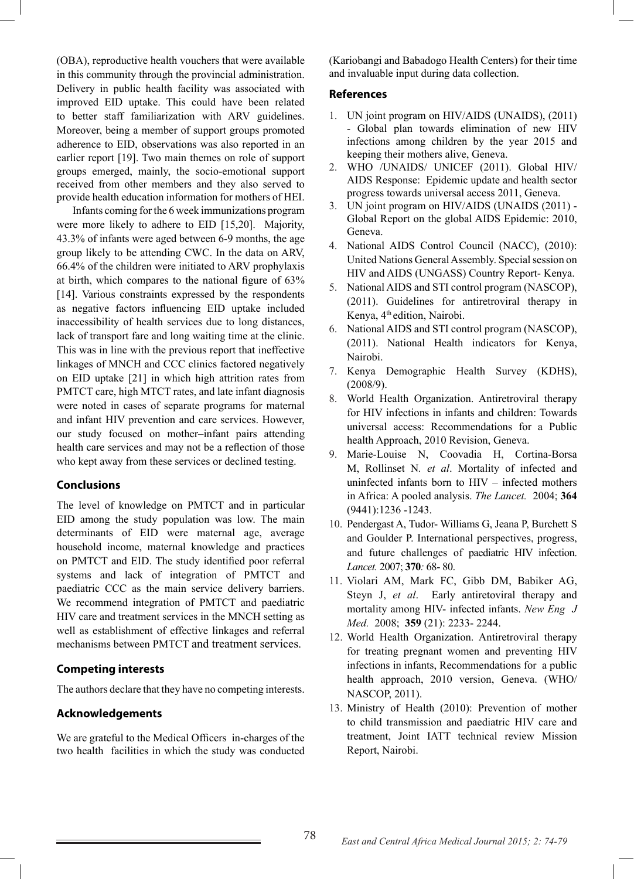(OBA), reproductive health vouchers that were available in this community through the provincial administration. Delivery in public health facility was associated with improved EID uptake. This could have been related to better staff familiarization with ARV guidelines. Moreover, being a member of support groups promoted adherence to EID, observations was also reported in an earlier report [19]. Two main themes on role of support groups emerged, mainly, the socio-emotional support received from other members and they also served to provide health education information for mothers of HEI.

 Infants coming for the 6 week immunizations program were more likely to adhere to EID [15,20]. Majority, 43.3% of infants were aged between 6-9 months, the age group likely to be attending CWC. In the data on ARV, 66.4% of the children were initiated to ARV prophylaxis at birth, which compares to the national figure of 63% [14]. Various constraints expressed by the respondents as negative factors influencing EID uptake included inaccessibility of health services due to long distances, lack of transport fare and long waiting time at the clinic. This was in line with the previous report that ineffective linkages of MNCH and CCC clinics factored negatively on EID uptake [21] in which high attrition rates from PMTCT care, high MTCT rates, and late infant diagnosis were noted in cases of separate programs for maternal and infant HIV prevention and care services. However, our study focused on mother–infant pairs attending health care services and may not be a reflection of those who kept away from these services or declined testing.

## **Conclusions**

The level of knowledge on PMTCT and in particular EID among the study population was low. The main determinants of EID were maternal age, average household income, maternal knowledge and practices on PMTCT and EID. The study identified poor referral systems and lack of integration of PMTCT and paediatric CCC as the main service delivery barriers. We recommend integration of PMTCT and paediatric HIV care and treatment services in the MNCH setting as well as establishment of effective linkages and referral mechanisms between PMTCT and treatment services.

## **Competing interests**

The authors declare that they have no competing interests.

### **Acknowledgements**

We are grateful to the Medical Officers in-charges of the two health facilities in which the study was conducted

(Kariobangi and Babadogo Health Centers) for their time and invaluable input during data collection.

### **References**

- 1. UN joint program on HIV/AIDS (UNAIDS), (2011) - Global plan towards elimination of new HIV infections among children by the year 2015 and keeping their mothers alive, Geneva.
- 2. WHO /UNAIDS/ UNICEF (2011). Global HIV/ AIDS Response: Epidemic update and health sector progress towards universal access 2011, Geneva.
- 3. UN joint program on HIV/AIDS (UNAIDS (2011) Global Report on the global AIDS Epidemic: 2010, Geneva.
- 4. National AIDS Control Council (NACC), (2010): United Nations General Assembly. Special session on HIV and AIDS (UNGASS) Country Report- Kenya.
- 5. National AIDS and STI control program (NASCOP), (2011). Guidelines for antiretroviral therapy in Kenya, 4<sup>th</sup> edition, Nairobi.
- 6. National AIDS and STI control program (NASCOP), (2011). National Health indicators for Kenya, Nairobi.
- 7. Kenya Demographic Health Survey (KDHS), (2008/9).
- 8. World Health Organization. Antiretroviral therapy for HIV infections in infants and children: Towards universal access: Recommendations for a Public health Approach, 2010 Revision, Geneva.
- 9. Marie-Louise N, Coovadia H, Cortina-Borsa M, Rollinset N*. et al*. Mortality of infected and uninfected infants born to HIV – infected mothers in Africa: A pooled analysis. *The Lancet.* 2004; **364**  (9441):1236 -1243.
- 10. Pendergast A, Tudor- Williams G, Jeana P, Burchett S and Goulder P. International perspectives, progress, and future challenges of paediatric HIV infection. *Lancet.* 2007; **370***:* 68- 80.
- 11. Violari AM, Mark FC, Gibb DM, Babiker AG, Steyn J, *et al*. Early antiretoviral therapy and mortality among HIV- infected infants. *New Eng J Med.* 2008; **359** (21): 2233- 2244.
- 12. World Health Organization. Antiretroviral therapy for treating pregnant women and preventing HIV infections in infants, Recommendations for a public health approach, 2010 version, Geneva. (WHO/ NASCOP, 2011).
- 13. Ministry of Health (2010): Prevention of mother to child transmission and paediatric HIV care and treatment, Joint IATT technical review Mission Report, Nairobi.